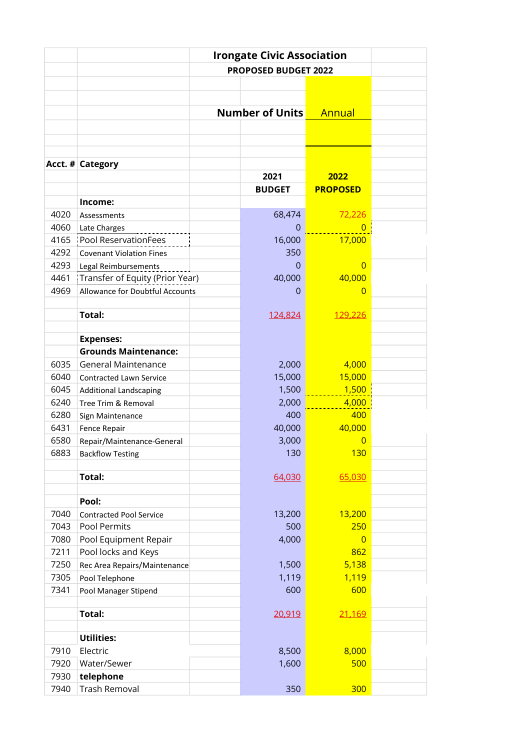|      | <b>Irongate Civic Association</b>      |                             |                 |  |  |
|------|----------------------------------------|-----------------------------|-----------------|--|--|
|      |                                        | <b>PROPOSED BUDGET 2022</b> |                 |  |  |
|      |                                        |                             |                 |  |  |
|      |                                        |                             |                 |  |  |
|      |                                        | <b>Number of Units</b>      | Annual          |  |  |
|      |                                        |                             |                 |  |  |
|      |                                        |                             |                 |  |  |
|      |                                        |                             |                 |  |  |
|      | Acct. # Category                       |                             |                 |  |  |
|      |                                        | 2021                        | 2022            |  |  |
|      |                                        | <b>BUDGET</b>               | <b>PROPOSED</b> |  |  |
|      | Income:                                |                             |                 |  |  |
| 4020 | Assessments                            | 68,474                      | 72,226          |  |  |
| 4060 |                                        | $\mathbf 0$                 | $\overline{0}$  |  |  |
| 4165 | Late Charges<br>Pool ReservationFees   | 16,000                      | 17,000          |  |  |
| 4292 | <b>Covenant Violation Fines</b>        | 350                         |                 |  |  |
| 4293 | Legal Reimbursements                   | $\Omega$                    | $\overline{0}$  |  |  |
| 4461 | Transfer of Equity (Prior Year)        | 40,000                      | 40,000          |  |  |
| 4969 | <b>Allowance for Doubtful Accounts</b> | 0                           | $\overline{0}$  |  |  |
|      |                                        |                             |                 |  |  |
|      | <b>Total:</b>                          | 124,824                     | 129,226         |  |  |
|      |                                        |                             |                 |  |  |
|      | <b>Expenses:</b>                       |                             |                 |  |  |
|      | <b>Grounds Maintenance:</b>            |                             |                 |  |  |
| 6035 | <b>General Maintenance</b>             | 2,000                       | 4,000           |  |  |
| 6040 | Contracted Lawn Service                | 15,000                      | 15,000          |  |  |
| 6045 | <b>Additional Landscaping</b>          | 1,500                       | 1,500           |  |  |
| 6240 | Tree Trim & Removal                    | 2,000                       | 4,000           |  |  |
| 6280 | Sign Maintenance                       | 400                         | 400             |  |  |
| 6431 | Fence Repair                           | 40,000                      | 40,000          |  |  |
| 6580 | Repair/Maintenance-General             | 3,000                       | $\overline{0}$  |  |  |
| 6883 | <b>Backflow Testing</b>                | 130                         | <b>130</b>      |  |  |
|      |                                        |                             |                 |  |  |
|      | <b>Total:</b>                          | 64,030                      | 65,030          |  |  |
|      |                                        |                             |                 |  |  |
|      | Pool:                                  |                             |                 |  |  |
| 7040 | <b>Contracted Pool Service</b>         | 13,200                      | 13,200          |  |  |
| 7043 | Pool Permits                           | 500                         | 250             |  |  |
| 7080 | Pool Equipment Repair                  | 4,000                       | $\overline{0}$  |  |  |
| 7211 | Pool locks and Keys                    |                             | 862             |  |  |
| 7250 | Rec Area Repairs/Maintenance           | 1,500                       | 5,138           |  |  |
| 7305 | Pool Telephone                         | 1,119                       | 1,119           |  |  |
| 7341 | Pool Manager Stipend                   | 600                         | 600             |  |  |
|      |                                        |                             |                 |  |  |
|      | <b>Total:</b>                          | 20,919                      | 21,169          |  |  |
|      |                                        |                             |                 |  |  |
|      | <b>Utilities:</b>                      |                             |                 |  |  |
| 7910 | Electric                               | 8,500                       | 8,000           |  |  |
| 7920 | Water/Sewer                            | 1,600                       | 500             |  |  |
| 7930 | telephone                              |                             |                 |  |  |
| 7940 | <b>Trash Removal</b>                   | 350                         | 300             |  |  |